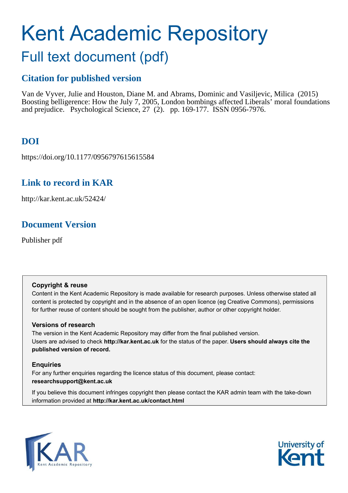# Kent Academic Repository

## Full text document (pdf)

### **Citation for published version**

Van de Vyver, Julie and Houston, Diane M. and Abrams, Dominic and Vasiljevic, Milica (2015) Boosting belligerence: How the July 7, 2005, London bombings affected Liberals' moral foundations and prejudice. Psychological Science, 27 (2). pp. 169-177. ISSN 0956-7976.

## **DOI**

https://doi.org/10.1177/0956797615615584

## **Link to record in KAR**

http://kar.kent.ac.uk/52424/

## **Document Version**

Publisher pdf

#### **Copyright & reuse**

Content in the Kent Academic Repository is made available for research purposes. Unless otherwise stated all content is protected by copyright and in the absence of an open licence (eg Creative Commons), permissions for further reuse of content should be sought from the publisher, author or other copyright holder.

#### **Versions of research**

The version in the Kent Academic Repository may differ from the final published version. Users are advised to check **http://kar.kent.ac.uk** for the status of the paper. **Users should always cite the published version of record.**

#### **Enquiries**

For any further enquiries regarding the licence status of this document, please contact: **researchsupport@kent.ac.uk**

If you believe this document infringes copyright then please contact the KAR admin team with the take-down information provided at **http://kar.kent.ac.uk/contact.html**



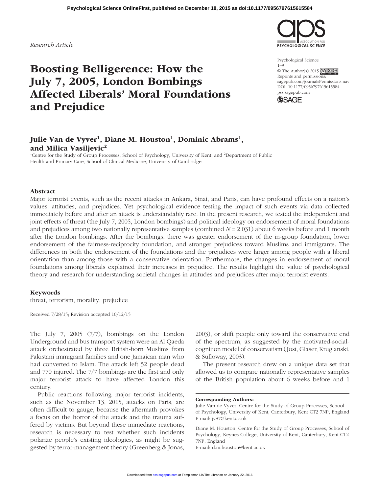*Research Article*

## Boosting Belligerence: How the July 7, 2005, London Bombings Affected Liberals' Moral Foundations and Prejudice



Psychological Science  $1 - 9$ © The Author(s) 2015  $\bigcirc$   $\bigcirc$   $\bigcirc$   $\bigcirc$ Reprints and permissions: sagepub.com/journalsPermissions.nav DOI: 10.1177/0956797615615584 pss.sagepub.com



#### Julie Van de Vyver<sup>1</sup>, Diane M. Houston<sup>1</sup>, Dominic Abrams<sup>1</sup>, and Milica Vasiljevic<sup>2</sup>

<sup>1</sup>Centre for the Study of Group Processes, School of Psychology, University of Kent, and <sup>2</sup>Department of Public Health and Primary Care, School of Clinical Medicine, University of Cambridge

#### Abstract

Major terrorist events, such as the recent attacks in Ankara, Sinai, and Paris, can have profound effects on a nation's values, attitudes, and prejudices. Yet psychological evidence testing the impact of such events via data collected immediately before and after an attack is understandably rare. In the present research, we tested the independent and joint effects of threat (the July 7, 2005, London bombings) and political ideology on endorsement of moral foundations and prejudices among two nationally representative samples (combined *N* = 2,031) about 6 weeks before and 1 month after the London bombings. After the bombings, there was greater endorsement of the in-group foundation, lower endorsement of the fairness-reciprocity foundation, and stronger prejudices toward Muslims and immigrants. The differences in both the endorsement of the foundations and the prejudices were larger among people with a liberal orientation than among those with a conservative orientation. Furthermore, the changes in endorsement of moral foundations among liberals explained their increases in prejudice. The results highlight the value of psychological theory and research for understanding societal changes in attitudes and prejudices after major terrorist events.

#### Keywords

threat, terrorism, morality, prejudice

Received 7/28/15; Revision accepted 10/12/15

The July 7, 2005 (7/7), bombings on the London Underground and bus transport system were an Al Qaeda attack orchestrated by three British-born Muslims from Pakistani immigrant families and one Jamaican man who had converted to Islam. The attack left 52 people dead and 770 injured. The 7/7 bombings are the first and only major terrorist attack to have affected London this century.

Public reactions following major terrorist incidents, such as the November 13, 2015, attacks on Paris, are often difficult to gauge, because the aftermath provokes a focus on the horror of the attack and the trauma suffered by victims. But beyond these immediate reactions, research is necessary to test whether such incidents polarize people's existing ideologies, as might be suggested by terror-management theory (Greenberg & Jonas,

2003), or shift people only toward the conservative end of the spectrum, as suggested by the motivated-socialcognition model of conservatism (Jost, Glaser, Kruglanski, & Sulloway, 2003).

The present research drew on a unique data set that allowed us to compare nationally representative samples of the British population about 6 weeks before and 1

Corresponding Authors:

Diane M. Houston, Centre for the Study of Group Processes, School of Psychology, Keynes College, University of Kent, Canterbury, Kent CT2 7NP, England

E-mail: d.m.houston@kent.ac.uk

Julie Van de Vyver, Centre for the Study of Group Processes, School of Psychology, University of Kent, Canterbury, Kent CT2 7NP, England E-mail: jv87@kent.ac.uk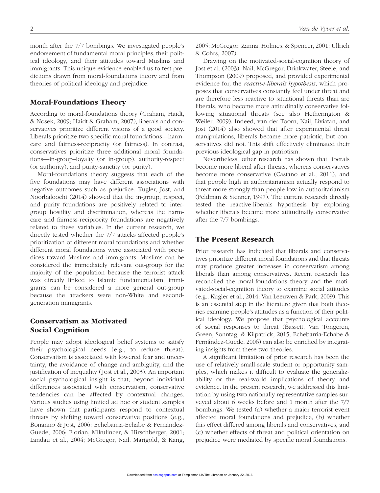month after the 7/7 bombings. We investigated people's endorsement of fundamental moral principles, their political ideology, and their attitudes toward Muslims and immigrants. This unique evidence enabled us to test predictions drawn from moral-foundations theory and from theories of political ideology and prejudice.

#### Moral-Foundations Theory

According to moral-foundations theory (Graham, Haidt, & Nosek, 2009; Haidt & Graham, 2007), liberals and conservatives prioritize different visions of a good society. Liberals prioritize two specific moral foundations—harmcare and fairness-reciprocity (or fairness). In contrast, conservatives prioritize three additional moral foundations—in-group–loyalty (or in-group), authority-respect (or authority), and purity-sanctity (or purity).

Moral-foundations theory suggests that each of the five foundations may have different associations with negative outcomes such as prejudice. Kugler, Jost, and Noorbaloochi (2014) showed that the in-group, respect, and purity foundations are positively related to intergroup hostility and discrimination, whereas the harmcare and fairness-reciprocity foundations are negatively related to these variables. In the current research, we directly tested whether the 7/7 attacks affected people's prioritization of different moral foundations and whether different moral foundations were associated with prejudices toward Muslims and immigrants. Muslims can be considered the immediately relevant out-group for the majority of the population because the terrorist attack was directly linked to Islamic fundamentalism; immigrants can be considered a more general out-group because the attackers were non-White and secondgeneration immigrants.

#### Conservatism as Motivated Social Cognition

People may adopt ideological belief systems to satisfy their psychological needs (e.g., to reduce threat). Conservatism is associated with lowered fear and uncertainty, the avoidance of change and ambiguity, and the justification of inequality (Jost et al., 2003). An important social psychological insight is that, beyond individual differences associated with conservatism, conservative tendencies can be affected by contextual changes. Various studies using limited ad hoc or student samples have shown that participants respond to contextual threats by shifting toward conservative positions (e.g., Bonanno & Jost, 2006; Echebarria-Echabe & Fernández-Guede, 2006; Florian, Mikulincer, & Hirschberger, 2001; Landau et al., 2004; McGregor, Nail, Marigold, & Kang, 2005; McGregor, Zanna, Holmes, & Spencer, 2001; Ullrich & Cohrs, 2007).

Drawing on the motivated-social-cognition theory of Jost et al. (2003), Nail, McGregor, Drinkwater, Steele, and Thompson (2009) proposed, and provided experimental evidence for, the *reactive-liberals hypothesis*, which proposes that conservatives constantly feel under threat and are therefore less reactive to situational threats than are liberals, who become more attitudinally conservative following situational threats (see also Hetherington & Weiler, 2009). Indeed, van der Toorn, Nail, Liviatan, and Jost (2014) also showed that after experimental threat manipulations, liberals became more patriotic, but conservatives did not. This shift effectively eliminated their previous ideological gap in patriotism.

Nevertheless, other research has shown that liberals become more liberal after threats, whereas conservatives become more conservative (Castano et al., 2011), and that people high in authoritarianism actually respond to threat more strongly than people low in authoritarianism (Feldman & Stenner, 1997). The current research directly tested the reactive-liberals hypothesis by exploring whether liberals became more attitudinally conservative after the 7/7 bombings.

#### The Present Research

Prior research has indicated that liberals and conservatives prioritize different moral foundations and that threats may produce greater increases in conservatism among liberals than among conservatives. Recent research has reconciled the moral-foundations theory and the motivated-social-cognition theory to examine social attitudes (e.g., Kugler et al., 2014; Van Leeuwen & Park, 2009). This is an essential step in the literature given that both theories examine people's attitudes as a function of their political ideology. We propose that psychological accounts of social responses to threat (Bassett, Van Tongeren, Green, Sonntag, & Kilpatrick, 2015; Echebarria-Echabe & Fernández-Guede, 2006) can also be enriched by integrating insights from these two theories.

A significant limitation of prior research has been the use of relatively small-scale student or opportunity samples, which makes it difficult to evaluate the generalizability or the real-world implications of theory and evidence. In the present research, we addressed this limitation by using two nationally representative samples surveyed about 6 weeks before and 1 month after the 7/7 bombings. We tested (a) whether a major terrorist event affected moral foundations and prejudice, (b) whether this effect differed among liberals and conservatives, and (c) whether effects of threat and political orientation on prejudice were mediated by specific moral foundations.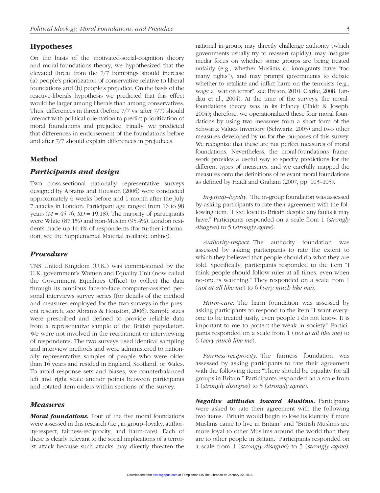#### Hypotheses

On the basis of the motivated-social-cognition theory and moral-foundations theory, we hypothesized that the elevated threat from the 7/7 bombings should increase (a) people's prioritization of conservative relative to liberal foundations and (b) people's prejudice. On the basis of the reactive-liberals hypothesis we predicted that this effect would be larger among liberals than among conservatives. Thus, differences in threat (before 7/7 vs. after 7/7) should interact with political orientation to predict prioritization of moral foundations and prejudice. Finally, we predicted that differences in endorsement of the foundations before and after 7/7 should explain differences in prejudices.

#### Method

#### Participants and design

Two cross-sectional nationally representative surveys designed by Abrams and Houston (2006) were conducted approximately 6 weeks before and 1 month after the July 7 attacks in London. Participant age ranged from 16 to 98 years (*M* = 45.76, *SD* = 19.18). The majority of participants were White (87.1%) and non-Muslim (95.4%). London residents made up 14.4% of respondents (for further information, see the Supplemental Material available online).

#### Procedure

TNS United Kingdom (U.K.) was commissioned by the U.K. government's Women and Equality Unit (now called the Government Equalities Office) to collect the data through its omnibus face-to-face computer-assisted personal interviews survey series (for details of the method and measures employed for the two surveys in the present research, see Abrams & Houston, 2006). Sample sizes were prescribed and defined to provide reliable data from a representative sample of the British population. We were not involved in the recruitment or interviewing of respondents. The two surveys used identical sampling and interview methods and were administered to nationally representative samples of people who were older than 16 years and resided in England, Scotland, or Wales. To avoid response sets and biases, we counterbalanced left and right scale anchor points between participants and rotated item orders within sections of the survey.

#### Measures

Moral foundations. Four of the five moral foundations were assessed in this research (i.e., in-group–loyalty, authority-respect, fairness-reciprocity, and harm-care). Each of these is clearly relevant to the social implications of a terrorist attack because such attacks may directly threaten the

national in-group, may directly challenge authority (which governments usually try to reassert rapidly), may instigate media focus on whether some groups are being treated unfairly (e.g., whether Muslims or immigrants have "too many rights"), and may prompt governments to debate whether to retaliate and inflict harm on the terrorists (e.g., wage a "war on terror"; see Breton, 2010; Clarke, 2008; Landau et al., 2004). At the time of the surveys, the moralfoundations theory was in its infancy (Haidt & Joseph, 2004); therefore, we operationalized these four moral foundations by using two measures from a short form of the Schwartz Values Inventory (Schwartz, 2003) and two other measures developed by us for the purposes of this survey. We recognize that these are not perfect measures of moral foundations. Nevertheless, the moral-foundations framework provides a useful way to specify predictions for the different types of measures, and we carefully mapped the measures onto the definitions of relevant moral foundations as defined by Haidt and Graham (2007, pp. 103–105).

*In-group–loyalty*. The in-group foundation was assessed by asking participants to rate their agreement with the following item: "I feel loyal to Britain despite any faults it may have." Participants responded on a scale from 1 (*strongly disagree*) to 5 (*strongly agree*).

*Authority-respect*. The authority foundation was assessed by asking participants to rate the extent to which they believed that people should do what they are told. Specifically, participants responded to the item "I think people should follow rules at all times, even when no-one is watching." They responded on a scale from 1 (*not at all like me*) to 6 (*very much like me*).

*Harm-care*. The harm foundation was assessed by asking participants to respond to the item "I want everyone to be treated justly, even people I do not know. It is important to me to protect the weak in society." Participants responded on a scale from 1 (*not at all like me*) to 6 (*very much like me*).

*Fairness-reciprocity*. The fairness foundation was assessed by asking participants to rate their agreement with the following item: "There should be equality for all groups in Britain." Participants responded on a scale from 1 (*strongly disagree*) to 5 (*strongly agree*).

Negative attitudes toward Muslims. Participants were asked to rate their agreement with the following two items: "Britain would begin to lose its identity if more Muslims came to live in Britain" and "British Muslims are more loyal to other Muslims around the world than they are to other people in Britain." Participants responded on a scale from 1 (*strongly disagree*) to 5 (*strongly agree*).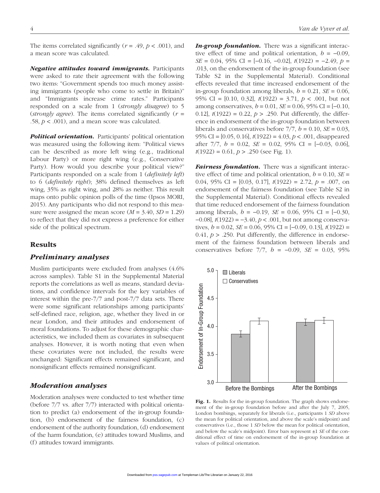The items correlated significantly ( $r = .49$ ,  $p < .001$ ), and a mean score was calculated.

Negative attitudes toward immigrants. Participants were asked to rate their agreement with the following two items: "Government spends too much money assisting immigrants (people who come to settle in Britain)" and "Immigrants increase crime rates." Participants responded on a scale from 1 (*strongly disagree*) to 5 (*strongly agree*). The items correlated significantly (*r* = .58,  $p < .001$ ), and a mean score was calculated.

**Political orientation.** Participants' political orientation was measured using the following item: "Political views can be described as more left wing (e.g., traditional Labour Party) or more right wing (e.g., Conservative Party). How would you describe your political view?" Participants responded on a scale from 1 (*definitely left*) to 6 (*definitely right*); 38% defined themselves as left wing, 35% as right wing, and 28% as neither. This result maps onto public opinion polls of the time (Ipsos MORI, 2015). Any participants who did not respond to this measure were assigned the mean score  $(M = 3.40, SD = 1.29)$ to reflect that they did not express a preference for either side of the political spectrum.

#### Results

#### Preliminary analyses

Muslim participants were excluded from analyses (4.6% across samples). Table S1 in the Supplemental Material reports the correlations as well as means, standard deviations, and confidence intervals for the key variables of interest within the pre-7/7 and post-7/7 data sets. There were some significant relationships among participants' self-defined race, religion, age, whether they lived in or near London, and their attitudes and endorsement of moral foundations. To adjust for these demographic characteristics, we included them as covariates in subsequent analyses. However, it is worth noting that even when these covariates were not included, the results were unchanged: Significant effects remained significant, and nonsignificant effects remained nonsignificant.

#### Moderation analyses

Moderation analyses were conducted to test whether time (before 7/7 vs. after 7/7) interacted with political orientation to predict (a) endorsement of the in-group foundation, (b) endorsement of the fairness foundation, (c) endorsement of the authority foundation, (d) endorsement of the harm foundation, (e) attitudes toward Muslims, and (f) attitudes toward immigrants.

**In-group foundation.** There was a significant interactive effect of time and political orientation,  $b = -0.09$ , *SE* = 0.04, 95% CI = [−0.16, −0.02], *t*(1922) = −2.49, *p* = .013, on the endorsement of the in-group foundation (see Table S2 in the Supplemental Material). Conditional effects revealed that time increased endorsement of the in-group foundation among liberals,  $b = 0.21$ ,  $SE = 0.06$ , 95% CI = [0.10, 0.32], *t*(1922) = 3.71, *p* < .001, but not among conservatives, *b* = 0.01, *SE* = 0.06, 95% CI = [−0.10, 0.12],  $t(1922) = 0.22$ ,  $p > .250$ . Put differently, the difference in endorsement of the in-group foundation between liberals and conservatives before  $7/7$ ,  $b = 0.10$ ,  $SE = 0.03$ , 95% CI = [0.05, 0.16], *t*(1922) = 4.03, *p* < .001, disappeared after 7/7, *b* = 0.02, *SE* = 0.02, 95% CI = [−0.03, 0.06], *t*(1922) = 0.61, *p* > .250 (see Fig. 1).

Fairness foundation. There was a significant interactive effect of time and political orientation,  $b = 0.10$ ,  $SE =$ 0.04, 95% CI = [0.03, 0.17], *t*(1922) = 2.72, *p* = .007, on endorsement of the fairness foundation (see Table S2 in the Supplemental Material). Conditional effects revealed that time reduced endorsement of the fairness foundation among liberals, *b* = −0.19, *SE* = 0.06, 95% CI = [−0.30, −0.08], *t*(1922) = −3.40, *p* < .001, but not among conservatives, *b* = 0.02, *SE* = 0.06, 95% CI = [−0.09, 0.13], *t*(1922) =  $0.41, p > .250$ . Put differently, the difference in endorsement of the fairness foundation between liberals and conservatives before 7/7, *b* = −0.09, *SE* = 0.03, 95%



Fig. 1. Results for the in-group foundation. The graph shows endorsement of the in-group foundation before and after the July 7, 2005, London bombings, separately for liberals (i.e., participants 1 *SD* above the mean for political orientation, and above the scale's midpoint) and conservatives (i.e., those 1 *SD* below the mean for political orientation, and below the scale's midpoint). Error bars represent ±1 *SE* of the conditional effect of time on endorsement of the in-group foundation at values of political orientation.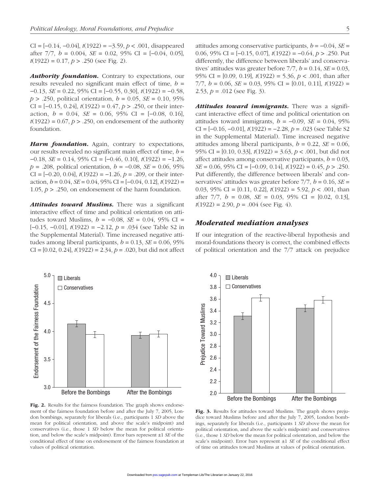CI = [−0.14, −0.04], *t*(1922) = −3.59, *p* < .001, disappeared after 7/7, *b* = 0.004, *SE* = 0.02, 95% CI = [−0.04, 0.05], *t*(1922) = 0.17, *p* > .250 (see Fig. 2).

Authority foundation. Contrary to expectations, our results revealed no significant main effect of time, *b* = −0.13, *SE* = 0.22, 95% CI = [−0.55, 0.30], *t*(1922) = −0.58, *p* > .250, political orientation, *b* = 0.05, *SE* = 0.10, 95% CI = [−0.15, 0.24], *t*(1922) = 0.47, *p* > .250, or their interaction,  $b = 0.04$ ,  $SE = 0.06$ ,  $95\%$  CI =  $[-0.08, 0.16]$ ,  $t(1922) = 0.67$ ,  $p > .250$ , on endorsement of the authority foundation.

Harm foundation. Again, contrary to expectations, our results revealed no significant main effect of time, *b* = −0.18, *SE* = 0.14, 95% CI = [−0.46, 0.10], *t*(1922) = −1.26, *p* = .208, political orientation, *b* = −0.08, *SE* = 0.06, 95% CI = [−0.20, 0.04], *t*(1922) = −1.26, *p* = .209, or their interaction, *b* = 0.04, *SE* = 0.04, 95% CI = [−0.04, 0.12], *t*(1922) = 1.05,  $p > 0.250$ , on endorsement of the harm foundation.

Attitudes toward Muslims. There was a significant interactive effect of time and political orientation on attitudes toward Muslims,  $b = -0.08$ ,  $SE = 0.04$ , 95% CI = [−0.15, −0.01], *t*(1922) = −2.12, *p* = .034 (see Table S2 in the Supplemental Material). Time increased negative attitudes among liberal participants,  $b = 0.13$ ,  $SE = 0.06$ , 95% CI = [0.02, 0.24], *t*(1922) = 2.34, *p* = .020, but did not affect



Fig. 2. Results for the fairness foundation. The graph shows endorsement of the fairness foundation before and after the July 7, 2005, London bombings, separately for liberals (i.e., participants 1 *SD* above the mean for political orientation, and above the scale's midpoint) and conservatives (i.e., those 1 *SD* below the mean for political orientation, and below the scale's midpoint). Error bars represent ±1 *SE* of the conditional effect of time on endorsement of the fairness foundation at values of political orientation.

attitudes among conservative participants,  $b = -0.04$ ,  $SE =$ 0.06, 95% CI = [−0.15, 0.07], *t*(1922) = −0.64, *p* > .250. Put differently, the difference between liberals' and conservatives' attitudes was greater before  $7/7$ ,  $b = 0.14$ ,  $SE = 0.03$ , 95% CI = [0.09, 0.19], *t*(1922) = 5.36, *p* < .001, than after 7/7, *b* = 0.06, *SE* = 0.03, 95% CI = [0.01, 0.11], *t*(1922) = 2.53,  $p = .012$  (see Fig. 3).

Attitudes toward immigrants. There was a significant interactive effect of time and political orientation on attitudes toward immigrants,  $b = -0.09$ ,  $SE = 0.04$ , 95% CI = [−0.16, −0.01], *t*(1922) = −2.28, *p* = .023 (see Table S2 in the Supplemental Material). Time increased negative attitudes among liberal participants,  $b = 0.22$ ,  $SE = 0.06$ , 95% CI = [0.10, 0.33], *t*(1922) = 3.63, *p* < .001, but did not affect attitudes among conservative participants,  $b = 0.03$ , *SE* = 0.06, 95% CI = [−0.09, 0.14], *t*(1922) = 0.45, *p* > .250. Put differently, the difference between liberals' and conservatives' attitudes was greater before  $7/7$ ,  $b = 0.16$ ,  $SE =$ 0.03, 95% CI = [0.11, 0.22], *t*(1922) = 5.92, *p* < .001, than after 7/7, *b* = 0.08, *SE* = 0.03, 95% CI = [0.02, 0.13],  $t(1922) = 2.90, p = .004$  (see Fig. 4).

#### Moderated mediation analyses

If our integration of the reactive-liberal hypothesis and moral-foundations theory is correct, the combined effects of political orientation and the 7/7 attack on prejudice



Fig. 3. Results for attitudes toward Muslims. The graph shows prejudice toward Muslims before and after the July 7, 2005, London bombings, separately for liberals (i.e., participants 1 *SD* above the mean for political orientation, and above the scale's midpoint) and conservatives (i.e., those 1 *SD* below the mean for political orientation, and below the scale's midpoint). Error bars represent ±1 *SE* of the conditional effect of time on attitudes toward Muslims at values of political orientation.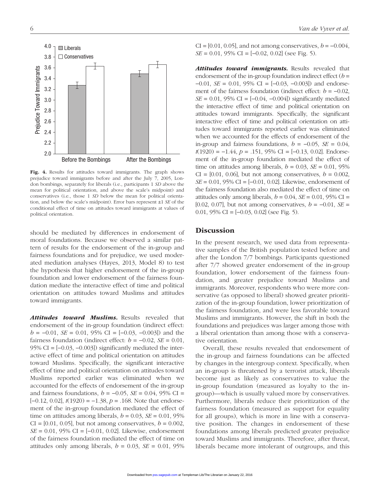

Fig. 4. Results for attitudes toward immigrants. The graph shows prejudice toward immigrants before and after the July 7, 2005, London bombings, separately for liberals (i.e., participants 1 *SD* above the mean for political orientation, and above the scale's midpoint) and conservatives (i.e., those 1 *SD* below the mean for political orientation, and below the scale's midpoint). Error bars represent ±1 *SE* of the conditional effect of time on attitudes toward immigrants at values of political orientation.

should be mediated by differences in endorsement of moral foundations. Because we observed a similar pattern of results for the endorsement of the in-group and fairness foundations and for prejudice, we used moderated mediation analyses (Hayes, 2013, Model 8) to test the hypothesis that higher endorsement of the in-group foundation and lower endorsement of the fairness foundation mediate the interactive effect of time and political orientation on attitudes toward Muslims and attitudes toward immigrants.

Attitudes toward Muslims. Results revealed that endorsement of the in-group foundation (indirect effect:  $b = -0.01$ , *SE* = 0.01, 95% CI = [-0.03, -0.003]) and the fairness foundation (indirect effect:  $b = -0.02$ ,  $SE = 0.01$ , 95% CI =  $[-0.03, -0.003]$  significantly mediated the interactive effect of time and political orientation on attitudes toward Muslims. Specifically, the significant interactive effect of time and political orientation on attitudes toward Muslims reported earlier was eliminated when we accounted for the effects of endorsement of the in-group and fairness foundations,  $b = -0.05$ ,  $SE = 0.04$ , 95% CI = [−0.12, 0.02], *t*(1920) = −1.38, *p* = .168. Note that endorsement of the in-group foundation mediated the effect of time on attitudes among liberals,  $b = 0.03$ ,  $SE = 0.01$ , 95%  $CI = [0.01, 0.05]$ , but not among conservatives,  $b = 0.002$ , *SE* = 0.01, 95% CI = [−0.01, 0.02]. Likewise, endorsement of the fairness foundation mediated the effect of time on attitudes only among liberals,  $b = 0.03$ ,  $SE = 0.01$ , 95%

 $CI = [0.01, 0.05]$ , and not among conservatives,  $b = -0.004$ , *SE* = 0.01, 95% CI = [−0.02, 0.02] (see Fig. 5).

Attitudes toward immigrants. Results revealed that endorsement of the in-group foundation indirect effect (*b* = −0.01, *SE* = 0.01, 95% CI = [−0.03, −0.003]) and endorsement of the fairness foundation (indirect effect:  $b = -0.02$ , *SE* = 0.01, 95% CI =  $[-0.04, -0.004]$  significantly mediated the interactive effect of time and political orientation on attitudes toward immigrants. Specifically, the significant interactive effect of time and political orientation on attitudes toward immigrants reported earlier was eliminated when we accounted for the effects of endorsement of the in-group and fairness foundations,  $b = -0.05$ ,  $SE = 0.04$ , *t*(1920) = −1.44, *p* = .151, 95% CI = [−0.13, 0.02]. Endorsement of the in-group foundation mediated the effect of time on attitudes among liberals,  $b = 0.03$ ,  $SE = 0.01$ , 95%  $CI = [0.01, 0.06]$ , but not among conservatives,  $b = 0.002$ , *SE* = 0.01, 95% CI = [−0.01, 0.02]. Likewise, endorsement of the fairness foundation also mediated the effect of time on attitudes only among liberals,  $b = 0.04$ ,  $SE = 0.01$ , 95% CI = [0.02, 0.07], but not among conservatives, *b* = −0.01, *SE* = 0.01,  $95\%$  CI =  $[-0.03, 0.02]$  (see Fig. 5).

#### Discussion

In the present research, we used data from representative samples of the British population tested before and after the London 7/7 bombings. Participants questioned after 7/7 showed greater endorsement of the in-group foundation, lower endorsement of the fairness foundation, and greater prejudice toward Muslims and immigrants. Moreover, respondents who were more conservative (as opposed to liberal) showed greater prioritization of the in-group foundation, lower prioritization of the fairness foundation, and were less favorable toward Muslims and immigrants. However, the shift in both the foundations and prejudices was larger among those with a liberal orientation than among those with a conservative orientation.

Overall, these results revealed that endorsement of the in-group and fairness foundations can be affected by changes in the intergroup context. Specifically, when an in-group is threatened by a terrorist attack, liberals become just as likely as conservatives to value the in-group foundation (measured as loyalty to the ingroup)—which is usually valued more by conservatives. Furthermore, liberals reduce their prioritization of the fairness foundation (measured as support for equality for all groups), which is more in line with a conservative position. The changes in endorsement of these foundations among liberals predicted greater prejudice toward Muslims and immigrants. Therefore, after threat, liberals became more intolerant of outgroups, and this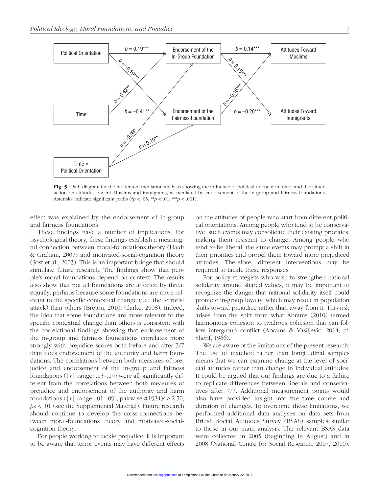

Fig. 5. Path diagram for the moderated mediation analysis showing the influence of political orientation, time, and their interaction on attitudes toward Muslims and immigrants, as mediated by endorsement of the in-group and fairness foundations. Asterisks indicate significant paths (\* $p < .05$ , \*\* $p < .01$ , \*\* $p < .001$ ).

effect was explained by the endorsement of in-group and fairness foundations.

These findings have a number of implications. For psychological theory, these findings establish a meaningful connection between moral-foundations theory (Haidt & Graham, 2007) and motivated-social-cognition theory (Jost et al., 2003). This is an important bridge that should stimulate future research. The findings show that people's moral foundations depend on context. The results also show that not all foundations are affected by threat equally, perhaps because some foundations are more relevant to the specific contextual change (i.e., the terrorist attack) than others (Breton, 2010; Clarke, 2008). Indeed, the idea that some foundations are more relevant to the specific contextual change than others is consistent with the correlational findings showing that endorsement of the in-group and fairness foundations correlates more strongly with prejudice scores both before and after 7/7 than does endorsement of the authority and harm foundations. The correlations between both measures of prejudice and endorsement of the in-group and fairness foundations ( $|r|$  range: .15–.19) were all significantly different from the correlations between both measures of prejudice and endorsement of the authority and harm foundations ( $|r|$  range: .01–.09), pairwise  $t(1934)$ s  $\geq 2.50$ , *p*s < .01 (see the Supplemental Material). Future research should continue to develop the cross-connections between moral-foundations theory and motivated-socialcognition theory.

For people working to tackle prejudice, it is important to be aware that terror events may have different effects on the attitudes of people who start from different political orientations. Among people who tend to be conservative, such events may consolidate their existing priorities, making them resistant to change. Among people who tend to be liberal, the same events may prompt a shift in their priorities and propel them toward more prejudiced attitudes. Therefore, different interventions may be required to tackle these responses.

For policy strategists who wish to strengthen national solidarity around shared values, it may be important to recognize the danger that national solidarity itself could promote in-group loyalty, which may result in population shifts toward prejudice rather than away from it. This risk arises from the shift from what Abrams (2010) termed harmonious cohesion to rivalrous cohesion that can follow intergroup conflict (Abrams & Vasiljevic, 2014; cf. Sherif, 1966).

We are aware of the limitations of the present research. The use of matched rather than longitudinal samples means that we can examine change at the level of societal attitudes rather than change in individual attitudes. It could be argued that our findings are due to a failure to replicate differences between liberals and conservatives after 7/7. Additional measurement points would also have provided insight into the time course and duration of changes. To overcome these limitations, we performed additional data analyses on data sets from British Social Attitudes Survey (BSAS) samples similar to those in our main analysis. The relevant BSAS data were collected in 2005 (beginning in August) and in 2008 (National Centre for Social Research, 2007, 2010).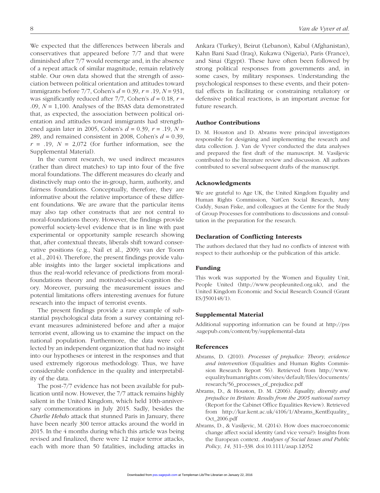We expected that the differences between liberals and conservatives that appeared before 7/7 and that were diminished after 7/7 would reemerge and, in the absence of a repeat attack of similar magnitude, remain relatively stable. Our own data showed that the strength of association between political orientation and attitudes toward immigrants before 7/7, Cohen's *d* = 0.39, *r* = .19, *N* = 931, was significantly reduced after  $7/7$ , Cohen's  $d = 0.18$ ,  $r =$ .09, *N* = 1,100. Analyses of the BSAS data demonstrated that, as expected, the association between political orientation and attitudes toward immigrants had strengthened again later in 2005, Cohen's *d* = 0.39, *r* = .19, *N* = 289, and remained consistent in 2008, Cohen's  $d = 0.39$ ,  $r = .19$ ,  $N = 2,072$  (for further information, see the Supplemental Material).

In the current research, we used indirect measures (rather than direct matches) to tap into four of the five moral foundations. The different measures do clearly and distinctively map onto the in-group, harm, authority, and fairness foundations. Conceptually, therefore, they are informative about the relative importance of these different foundations. We are aware that the particular items may also tap other constructs that are not central to moral-foundations theory. However, the findings provide powerful society-level evidence that is in line with past experimental or opportunity sample research showing that, after contextual threats, liberals shift toward conservative positions (e.g., Nail et al., 2009; van der Toorn et al., 2014). Therefore, the present findings provide valuable insights into the larger societal implications and thus the real-world relevance of predictions from moralfoundations theory and motivated-social-cognition theory. Moreover, pursuing the measurement issues and potential limitations offers interesting avenues for future research into the impact of terrorist events.

The present findings provide a rare example of substantial psychological data from a survey containing relevant measures administered before and after a major terrorist event, allowing us to examine the impact on the national population. Furthermore, the data were collected by an independent organization that had no insight into our hypotheses or interest in the responses and that used extremely rigorous methodology. Thus, we have considerable confidence in the quality and interpretability of the data.

The post-7/7 evidence has not been available for publication until now. However, the 7/7 attack remains highly salient in the United Kingdom, which held 10th-anniversary commemorations in July 2015. Sadly, besides the *Charlie Hebdo* attack that stunned Paris in January, there have been nearly 300 terror attacks around the world in 2015. In the 4 months during which this article was being revised and finalized, there were 12 major terror attacks, each with more than 50 fatalities, including attacks in Ankara (Turkey), Beirut (Lebanon), Kabul (Afghanistan), Kahn Bani Saad (Iraq), Kukawa (Nigeria), Paris (France), and Sinai (Egypt). These have often been followed by strong political responses from governments and, in some cases, by military responses. Understanding the psychological responses to these events, and their potential effects in facilitating or constraining retaliatory or defensive political reactions, is an important avenue for future research.

#### Author Contributions

D. M. Houston and D. Abrams were principal investigators responsible for designing and implementing the research and data collection. J. Van de Vyver conducted the data analyses and prepared the first draft of the manuscript. M. Vasiljevic contributed to the literature review and discussion. All authors contributed to several subsequent drafts of the manuscript.

#### Acknowledgments

We are grateful to Age UK, the United Kingdom Equality and Human Rights Commission, NatCen Social Research, Amy Cuddy, Susan Fiske, and colleagues at the Centre for the Study of Group Processes for contributions to discussions and consultation in the preparation for the research.

#### Declaration of Conflicting Interests

The authors declared that they had no conflicts of interest with respect to their authorship or the publication of this article.

#### Funding

This work was supported by the Women and Equality Unit, People United (http://www.peopleunited.org.uk), and the United Kingdom Economic and Social Research Council (Grant ES/J500148/1).

#### Supplemental Material

Additional supporting information can be found at http://pss .sagepub.com/content/by/supplemental-data

#### References

- Abrams, D. (2010). *Processes of prejudice: Theory, evidence and intervention* (Equalities and Human Rights Commission Research Report 56). Retrieved from http://www. equalityhumanrights.com/sites/default/files/documents/ research/56\_processes\_of\_prejudice.pdf
- Abrams, D., & Houston, D. M. (2006). *Equality, diversity and prejudice in Britain: Results from the 2005 national survey* (Report for the Cabinet Office Equalities Review). Retrieved from http://kar.kent.ac.uk/4106/1/Abrams\_KentEquality\_ Oct\_2006.pdf
- Abrams, D., & Vasiljevic, M. (2014). How does macroeconomic change affect social identity (and vice versa?): Insights from the European context. *Analyses of Social Issues and Public Policy*, *14*, 311–338. doi:10.1111/asap.12052